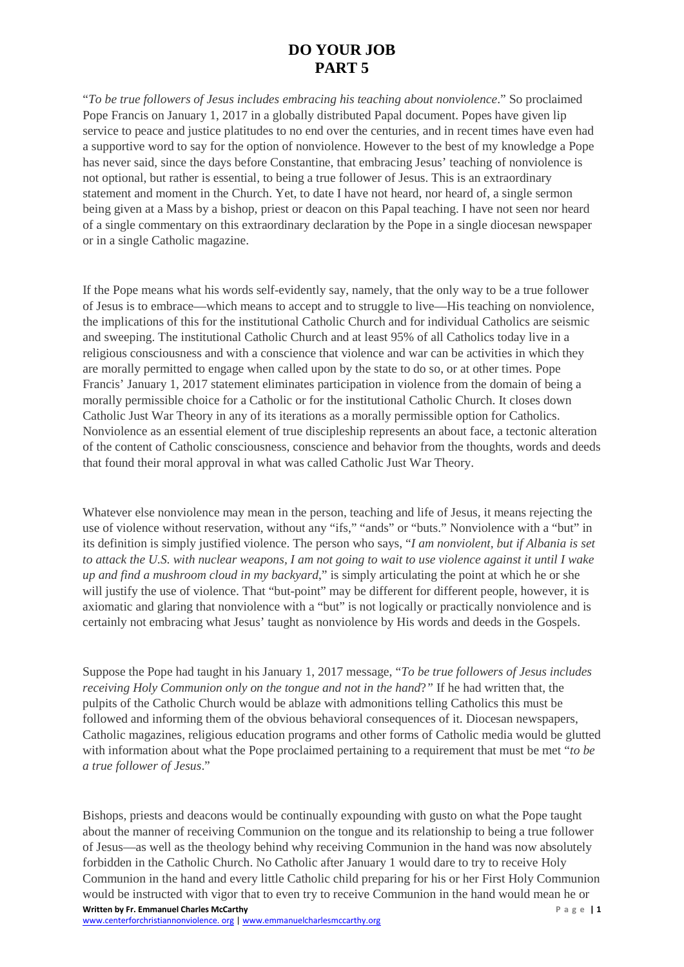## **DO YOUR JOB PART 5**

"*To be true followers of Jesus includes embracing his teaching about nonviolence*." So proclaimed Pope Francis on January 1, 2017 in a globally distributed Papal document. Popes have given lip service to peace and justice platitudes to no end over the centuries, and in recent times have even had a supportive word to say for the option of nonviolence. However to the best of my knowledge a Pope has never said, since the days before Constantine, that embracing Jesus' teaching of nonviolence is not optional, but rather is essential, to being a true follower of Jesus. This is an extraordinary statement and moment in the Church. Yet, to date I have not heard, nor heard of, a single sermon being given at a Mass by a bishop, priest or deacon on this Papal teaching. I have not seen nor heard of a single commentary on this extraordinary declaration by the Pope in a single diocesan newspaper or in a single Catholic magazine.

If the Pope means what his words self-evidently say, namely, that the only way to be a true follower of Jesus is to embrace—which means to accept and to struggle to live—His teaching on nonviolence, the implications of this for the institutional Catholic Church and for individual Catholics are seismic and sweeping. The institutional Catholic Church and at least 95% of all Catholics today live in a religious consciousness and with a conscience that violence and war can be activities in which they are morally permitted to engage when called upon by the state to do so, or at other times. Pope Francis' January 1, 2017 statement eliminates participation in violence from the domain of being a morally permissible choice for a Catholic or for the institutional Catholic Church. It closes down Catholic Just War Theory in any of its iterations as a morally permissible option for Catholics. Nonviolence as an essential element of true discipleship represents an about face, a tectonic alteration of the content of Catholic consciousness, conscience and behavior from the thoughts, words and deeds that found their moral approval in what was called Catholic Just War Theory.

Whatever else nonviolence may mean in the person, teaching and life of Jesus, it means rejecting the use of violence without reservation, without any "ifs," "ands" or "buts." Nonviolence with a "but" in its definition is simply justified violence. The person who says, "*I am nonviolent, but if Albania is set to attack the U.S. with nuclear weapons, I am not going to wait to use violence against it until I wake up and find a mushroom cloud in my backyard*," is simply articulating the point at which he or she will justify the use of violence. That "but-point" may be different for different people, however, it is axiomatic and glaring that nonviolence with a "but" is not logically or practically nonviolence and is certainly not embracing what Jesus' taught as nonviolence by His words and deeds in the Gospels.

Suppose the Pope had taught in his January 1, 2017 message, "*To be true followers of Jesus includes receiving Holy Communion only on the tongue and not in the hand*?*"* If he had written that, the pulpits of the Catholic Church would be ablaze with admonitions telling Catholics this must be followed and informing them of the obvious behavioral consequences of it. Diocesan newspapers, Catholic magazines, religious education programs and other forms of Catholic media would be glutted with information about what the Pope proclaimed pertaining to a requirement that must be met "*to be a true follower of Jesus*."

**Written by Fr. Emmanuel Charles McCarthy Area and Science of Area and Science of Page | 1** Bishops, priests and deacons would be continually expounding with gusto on what the Pope taught about the manner of receiving Communion on the tongue and its relationship to being a true follower of Jesus—as well as the theology behind why receiving Communion in the hand was now absolutely forbidden in the Catholic Church. No Catholic after January 1 would dare to try to receive Holy Communion in the hand and every little Catholic child preparing for his or her First Holy Communion would be instructed with vigor that to even try to receive Communion in the hand would mean he or